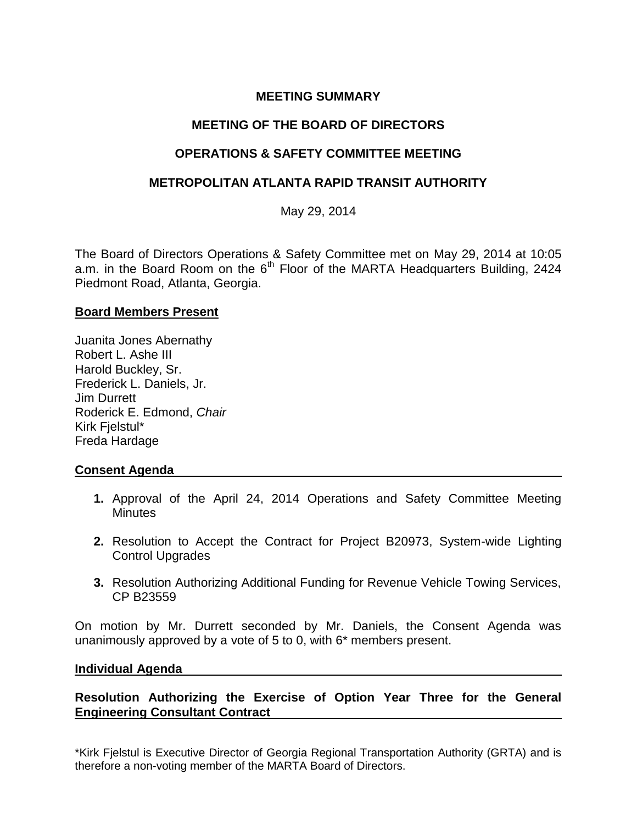# **MEETING SUMMARY**

# **MEETING OF THE BOARD OF DIRECTORS**

## **OPERATIONS & SAFETY COMMITTEE MEETING**

## **METROPOLITAN ATLANTA RAPID TRANSIT AUTHORITY**

May 29, 2014

The Board of Directors Operations & Safety Committee met on May 29, 2014 at 10:05 a.m. in the Board Room on the  $6<sup>th</sup>$  Floor of the MARTA Headquarters Building, 2424 Piedmont Road, Atlanta, Georgia.

## **Board Members Present**

Juanita Jones Abernathy Robert L. Ashe III Harold Buckley, Sr. Frederick L. Daniels, Jr. Jim Durrett Roderick E. Edmond, *Chair* Kirk Fjelstul\* Freda Hardage

#### **Consent Agenda**

- **1.** Approval of the April 24, 2014 Operations and Safety Committee Meeting **Minutes**
- **2.** Resolution to Accept the Contract for Project B20973, System-wide Lighting Control Upgrades
- **3.** Resolution Authorizing Additional Funding for Revenue Vehicle Towing Services, CP B23559

On motion by Mr. Durrett seconded by Mr. Daniels, the Consent Agenda was unanimously approved by a vote of 5 to 0, with 6\* members present.

#### **Individual Agenda**

# **Resolution Authorizing the Exercise of Option Year Three for the General Engineering Consultant Contract**

\*Kirk Fjelstul is Executive Director of Georgia Regional Transportation Authority (GRTA) and is therefore a non-voting member of the MARTA Board of Directors.